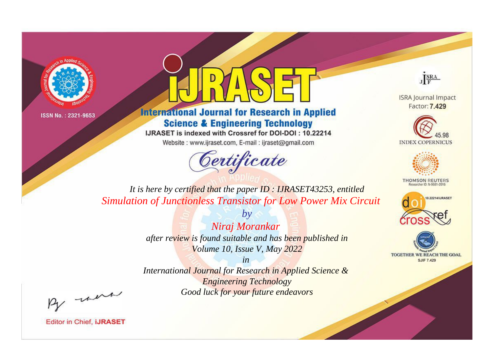



**International Journal for Research in Applied Science & Engineering Technology** 

IJRASET is indexed with Crossref for DOI-DOI: 10.22214

Website: www.ijraset.com, E-mail: ijraset@gmail.com



JERA

**ISRA Journal Impact** Factor: 7.429





**THOMSON REUTERS** 



TOGETHER WE REACH THE GOAL **SJIF 7.429** 

*It is here by certified that the paper ID : IJRASET43253, entitled Simulation of Junctionless Transistor for Low Power Mix Circuit*

> *Niraj Morankar after review is found suitable and has been published in Volume 10, Issue V, May 2022*

*by*

*in* 

*International Journal for Research in Applied Science & Engineering Technology Good luck for your future endeavors*

By morn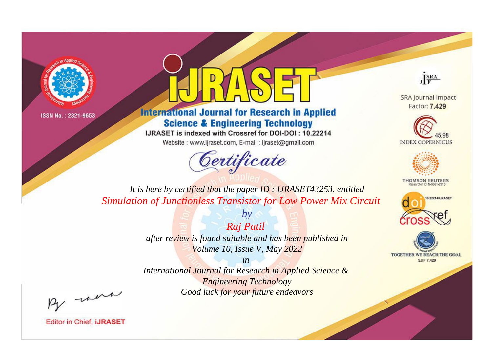



**International Journal for Research in Applied Science & Engineering Technology** 

IJRASET is indexed with Crossref for DOI-DOI: 10.22214

Website: www.ijraset.com, E-mail: ijraset@gmail.com



JERA

**ISRA Journal Impact** Factor: 7.429





**THOMSON REUTERS** 



TOGETHER WE REACH THE GOAL **SJIF 7.429** 

*It is here by certified that the paper ID : IJRASET43253, entitled Simulation of Junctionless Transistor for Low Power Mix Circuit*

> *Raj Patil after review is found suitable and has been published in Volume 10, Issue V, May 2022*

*by*

*in* 

*International Journal for Research in Applied Science & Engineering Technology Good luck for your future endeavors*

By morn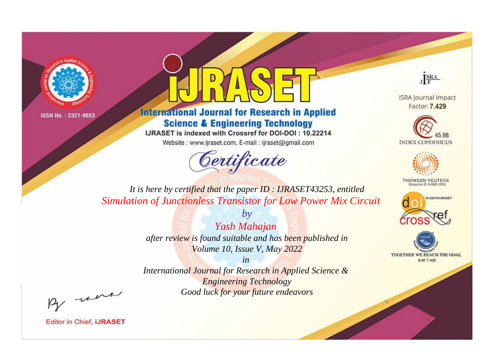



**International Journal for Research in Applied Science & Engineering Technology** 

IJRASET is indexed with Crossref for DOI-DOI: 10.22214

Website: www.ijraset.com, E-mail: ijraset@gmail.com



JERA

**ISRA Journal Impact** Factor: 7.429





**THOMSON REUTERS** 



TOGETHER WE REACH THE GOAL **SJIF 7.429** 

*It is here by certified that the paper ID : IJRASET43253, entitled Simulation of Junctionless Transistor for Low Power Mix Circuit*

> *by Yash Mahajan after review is found suitable and has been published in Volume 10, Issue V, May 2022*

> > *in*

*International Journal for Research in Applied Science & Engineering Technology Good luck for your future endeavors*

By morn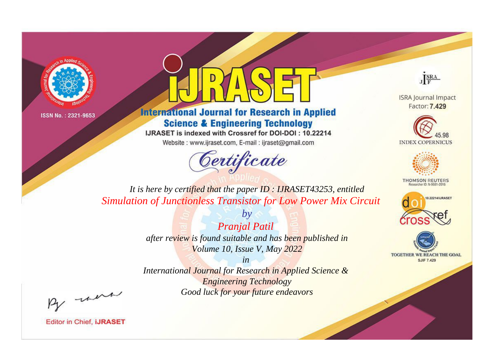



**International Journal for Research in Applied Science & Engineering Technology** 

IJRASET is indexed with Crossref for DOI-DOI: 10.22214

Website: www.ijraset.com, E-mail: ijraset@gmail.com



JERA

**ISRA Journal Impact** Factor: 7.429





**THOMSON REUTERS** 



TOGETHER WE REACH THE GOAL **SJIF 7.429** 

*It is here by certified that the paper ID : IJRASET43253, entitled Simulation of Junctionless Transistor for Low Power Mix Circuit*

> *by Pranjal Patil after review is found suitable and has been published in Volume 10, Issue V, May 2022*

> > *in*

*International Journal for Research in Applied Science & Engineering Technology Good luck for your future endeavors*

By morn